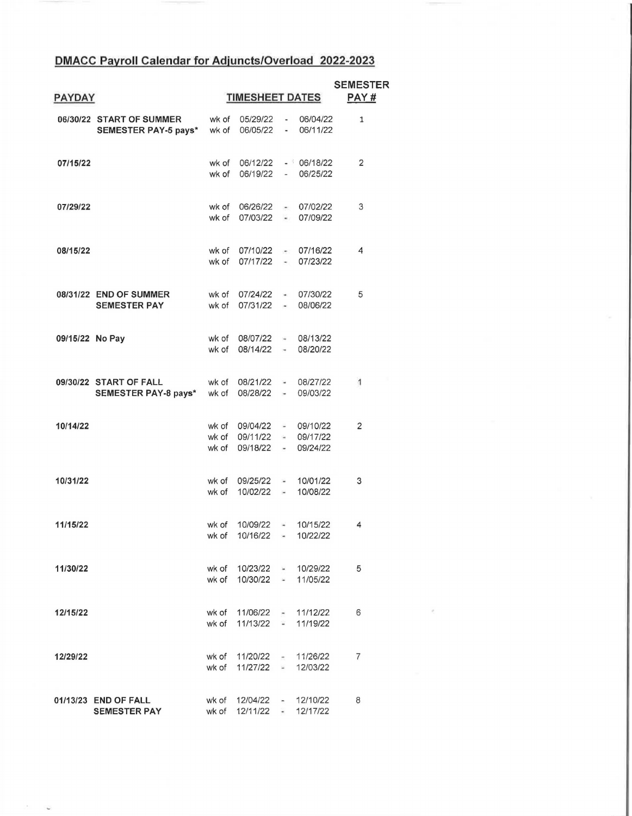## **DMACC Payroll Calendar for Adjuncts/Overload 2022-2023**

| <b>PAYDAY</b>   |                                                        | <b>TIMESHEET DATES</b> |                                                                               |                  |                                    | <b>SEMESTER</b><br>PAY# |
|-----------------|--------------------------------------------------------|------------------------|-------------------------------------------------------------------------------|------------------|------------------------------------|-------------------------|
|                 | 06/30/22 START OF SUMMER<br>SEMESTER PAY-5 pays* wk of | wk of                  | 06/05/22                                                                      |                  | 05/29/22 - 06/04/22<br>$-06/11/22$ | $\mathbf{1}$            |
| 07/15/22        |                                                        | wk of                  | wk of 06/12/22 - 06/18/22<br>06/19/22                                         |                  | $-06/25/22$                        | 2                       |
| 07/29/22        |                                                        | wk of                  | wk of 06/26/22 - 07/02/22<br>07/03/22 -                                       |                  | 07/09/22                           | 3                       |
| 08/15/22        |                                                        | wk of<br>wk of         | 07/10/22 - 07/16/22<br>07/17/22 - 07/23/22                                    |                  |                                    | 4                       |
|                 | 08/31/22 END OF SUMMER<br><b>SEMESTER PAY</b>          | wk of<br>wk of         | 07/24/22 - 07/30/22<br>07/31/22 - 08/06/22                                    |                  |                                    | 5                       |
| 09/15/22 No Pay |                                                        | wk of                  | wk of 08/07/22 - 08/13/22<br>08/14/22 - 08/20/22                              |                  |                                    |                         |
|                 | 09/30/22 START OF FALL<br>SEMESTER PAY-8 pays* wk of   |                        | wk of 08/21/22 - 08/27/22<br>08/28/22                                         |                  | $-09/03/22$                        | 1                       |
| 10/14/22        |                                                        | wk of                  | wk of 09/04/22 - 09/10/22<br>wk of 09/11/22 - 09/17/22<br>09/18/22 - 09/24/22 |                  |                                    | 2                       |
| 10/31/22        |                                                        | wk of                  | wk of 09/25/22 - 10/01/22<br>10/02/22                                         | $\sim$           | 10/08/22                           | 3                       |
| 11/15/22        |                                                        | wk of<br>wk of         | 10/09/22<br>10/16/22 - 10/22/22                                               |                  | $- 10/15/22$                       | 4                       |
| 11/30/22        |                                                        |                        | wk of 10/23/22 - 10/29/22<br>wk of 10/30/22 -                                 |                  | 11/05/22                           | 5                       |
| 12/15/22        |                                                        |                        | wk of 11/06/22 - 11/12/22<br>wk of 11/13/22 =                                 |                  | 11/19/22                           | 6                       |
| 12/29/22        |                                                        |                        | wk of 11/20/22 -<br>wk of 11/27/22 -                                          |                  | 11/26/22<br>12/03/22               | 7                       |
|                 | 01/13/23 END OF FALL<br><b>SEMESTER PAY</b>            |                        | wk of 12/04/22<br>wk of 12/11/22                                              | $\sim$<br>$\sim$ | 12/10/22<br>12/17/22               | 8                       |

 $\sim 20$  $\tilde{\mathbf{v}}$